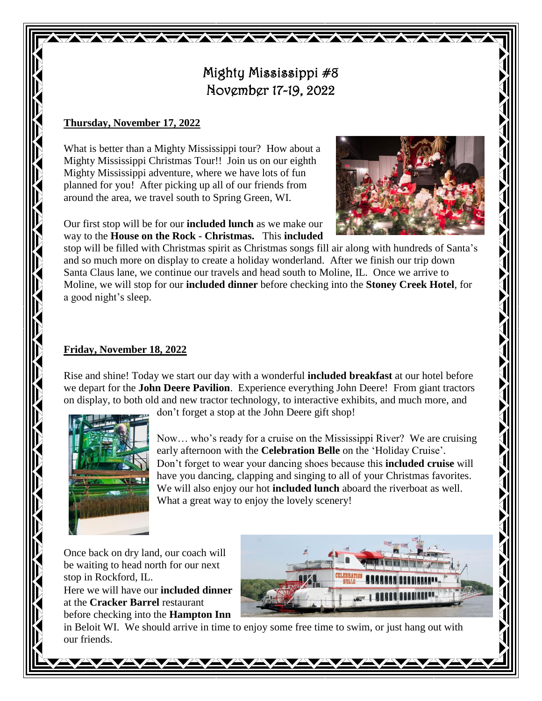## Mighty Mississippi #8 November 17-19, 2022

**TAXABLE TAXABLE** 

## **Thursday, November 17, 2022**

What is better than a Mighty Mississippi tour? How about a Mighty Mississippi Christmas Tour!! Join us on our eighth Mighty Mississippi adventure, where we have lots of fun planned for you! After picking up all of our friends from around the area, we travel south to Spring Green, WI.

Our first stop will be for our **included lunch** as we make our way to the **House on the Rock - Christmas.** This **included**



stop will be filled with Christmas spirit as Christmas songs fill air along with hundreds of Santa's and so much more on display to create a holiday wonderland. After we finish our trip down Santa Claus lane, we continue our travels and head south to Moline, IL. Once we arrive to Moline, we will stop for our **included dinner** before checking into the **Stoney Creek Hotel**, for a good night's sleep.

## **Friday, November 18, 2022**

Rise and shine! Today we start our day with a wonderful **included breakfast** at our hotel before we depart for the **John Deere Pavilion**. Experience everything John Deere! From giant tractors on display, to both old and new tractor technology, to interactive exhibits, and much more, and



don't forget a stop at the John Deere gift shop!

Now… who's ready for a cruise on the Mississippi River? We are cruising early afternoon with the **Celebration Belle** on the 'Holiday Cruise'. Don't forget to wear your dancing shoes because this **included cruise** will have you dancing, clapping and singing to all of your Christmas favorites. We will also enjoy our hot **included lunch** aboard the riverboat as well. What a great way to enjoy the lovely scenery!

Once back on dry land, our coach will be waiting to head north for our next stop in Rockford, IL.

Here we will have our **included dinner** at the **Cracker Barrel** restaurant before checking into the **Hampton Inn**



in Beloit WI. We should arrive in time to enjoy some free time to swim, or just hang out with our friends.